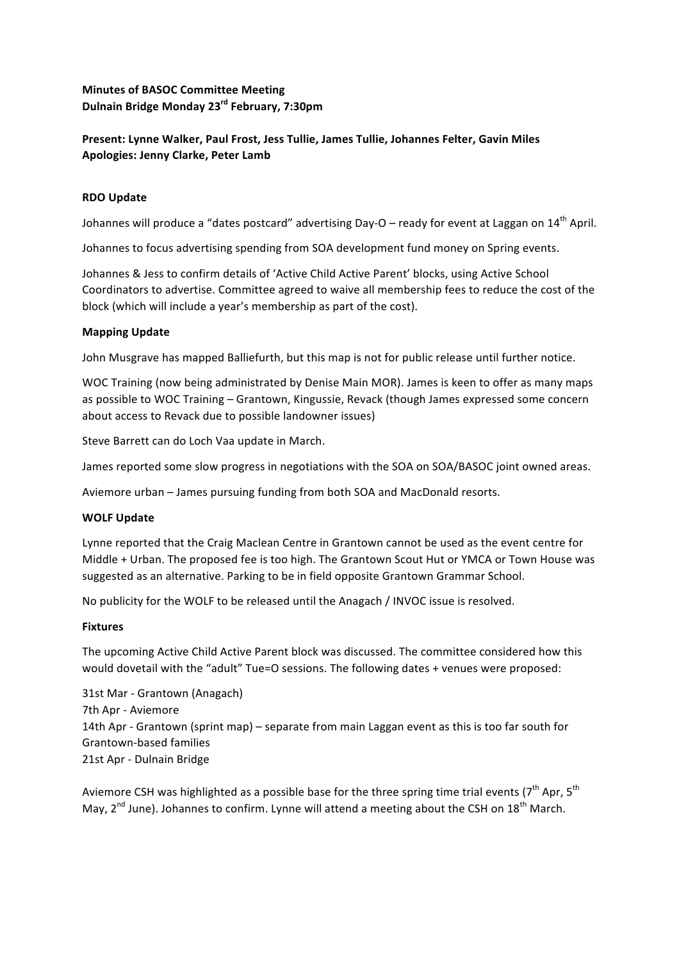# **Minutes of BASOC Committee Meeting Dulnain Bridge Monday 23rd February, 7:30pm**

# Present: Lynne Walker, Paul Frost, Jess Tullie, James Tullie, Johannes Felter, Gavin Miles **Apologies: Jenny Clarke, Peter Lamb**

# **RDO Update**

Johannes will produce a "dates postcard" advertising Day-O – ready for event at Laggan on  $14<sup>th</sup>$  April.

Johannes to focus advertising spending from SOA development fund money on Spring events.

Johannes & Jess to confirm details of 'Active Child Active Parent' blocks, using Active School Coordinators to advertise. Committee agreed to waive all membership fees to reduce the cost of the block (which will include a year's membership as part of the cost).

# **Mapping Update**

John Musgrave has mapped Balliefurth, but this map is not for public release until further notice.

WOC Training (now being administrated by Denise Main MOR). James is keen to offer as many maps as possible to WOC Training – Grantown, Kingussie, Revack (though James expressed some concern about access to Revack due to possible landowner issues)

Steve Barrett can do Loch Vaa update in March.

James reported some slow progress in negotiations with the SOA on SOA/BASOC joint owned areas.

Aviemore urban - James pursuing funding from both SOA and MacDonald resorts.

# **WOLF Update**

Lynne reported that the Craig Maclean Centre in Grantown cannot be used as the event centre for Middle + Urban. The proposed fee is too high. The Grantown Scout Hut or YMCA or Town House was suggested as an alternative. Parking to be in field opposite Grantown Grammar School.

No publicity for the WOLF to be released until the Anagach / INVOC issue is resolved.

# **Fixtures**

The upcoming Active Child Active Parent block was discussed. The committee considered how this would dovetail with the "adult" Tue=O sessions. The following dates + venues were proposed:

31st Mar - Grantown (Anagach) 7th Apr - Aviemore 14th Apr - Grantown (sprint map) – separate from main Laggan event as this is too far south for Grantown-based families 21st Apr - Dulnain Bridge

Aviemore CSH was highlighted as a possible base for the three spring time trial events ( $7^{th}$  Apr,  $5^{th}$ May,  $2<sup>nd</sup>$  June). Johannes to confirm. Lynne will attend a meeting about the CSH on 18<sup>th</sup> March.